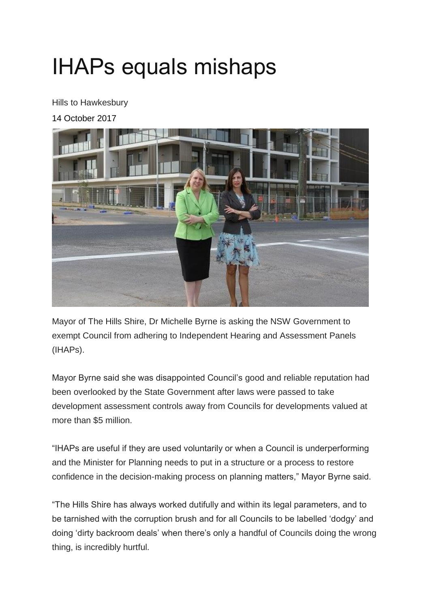## IHAPs equals mishaps

Hills to Hawkesbury

14 October 2017



Mayor of The Hills Shire, Dr Michelle Byrne is asking the NSW Government to exempt Council from adhering to Independent Hearing and Assessment Panels (IHAPs).

Mayor Byrne said she was disappointed Council's good and reliable reputation had been overlooked by the State Government after laws were passed to take development assessment controls away from Councils for developments valued at more than \$5 million.

"IHAPs are useful if they are used voluntarily or when a Council is underperforming and the Minister for Planning needs to put in a structure or a process to restore confidence in the decision-making process on planning matters," Mayor Byrne said.

"The Hills Shire has always worked dutifully and within its legal parameters, and to be tarnished with the corruption brush and for all Councils to be labelled 'dodgy' and doing 'dirty backroom deals' when there's only a handful of Councils doing the wrong thing, is incredibly hurtful.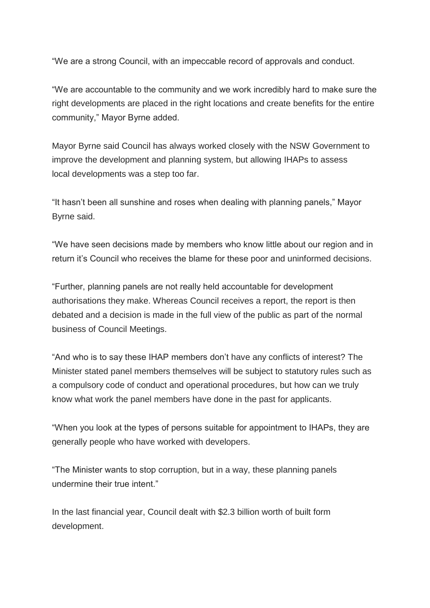"We are a strong Council, with an impeccable record of approvals and conduct.

"We are accountable to the community and we work incredibly hard to make sure the right developments are placed in the right locations and create benefits for the entire community," Mayor Byrne added.

Mayor Byrne said Council has always worked closely with the NSW Government to improve the development and planning system, but allowing IHAPs to assess local developments was a step too far.

"It hasn't been all sunshine and roses when dealing with planning panels," Mayor Byrne said.

"We have seen decisions made by members who know little about our region and in return it's Council who receives the blame for these poor and uninformed decisions.

"Further, planning panels are not really held accountable for development authorisations they make. Whereas Council receives a report, the report is then debated and a decision is made in the full view of the public as part of the normal business of Council Meetings.

"And who is to say these IHAP members don't have any conflicts of interest? The Minister stated panel members themselves will be subject to statutory rules such as a compulsory code of conduct and operational procedures, but how can we truly know what work the panel members have done in the past for applicants.

"When you look at the types of persons suitable for appointment to IHAPs, they are generally people who have worked with developers.

"The Minister wants to stop corruption, but in a way, these planning panels undermine their true intent."

In the last financial year, Council dealt with \$2.3 billion worth of built form development.